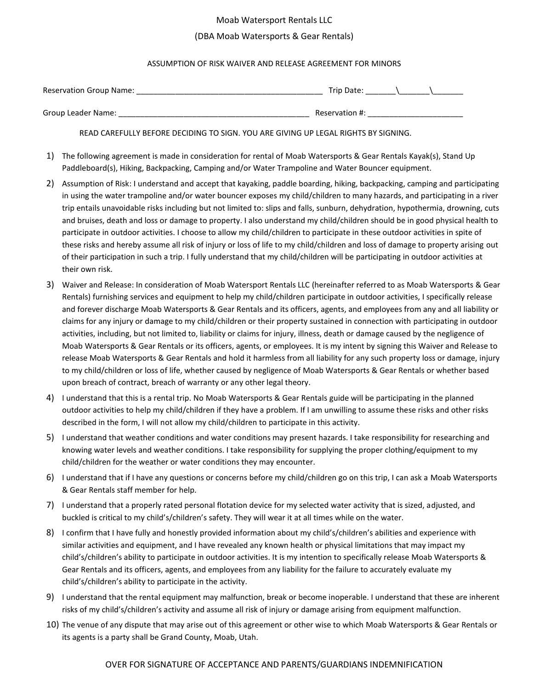#### Moab Watersport Rentals LLC

### (DBA Moab Watersports & Gear Rentals)

#### ASSUMPTION OF RISK WAIVER AND RELEASE AGREEMENT FOR MINORS

| <b>Reservation Group Name:</b> | Trip Date:     |
|--------------------------------|----------------|
| Group Leader Name:             | Reservation #: |

READ CAREFULLY BEFORE DECIDING TO SIGN. YOU ARE GIVING UP LEGAL RIGHTS BY SIGNING.

- 1) The following agreement is made in consideration for rental of Moab Watersports & Gear Rentals Kayak(s), Stand Up Paddleboard(s), Hiking, Backpacking, Camping and/or Water Trampoline and Water Bouncer equipment.
- 2) Assumption of Risk: I understand and accept that kayaking, paddle boarding, hiking, backpacking, camping and participating in using the water trampoline and/or water bouncer exposes my child/children to many hazards, and participating in a river trip entails unavoidable risks including but not limited to: slips and falls, sunburn, dehydration, hypothermia, drowning, cuts and bruises, death and loss or damage to property. I also understand my child/children should be in good physical health to participate in outdoor activities. I choose to allow my child/children to participate in these outdoor activities in spite of these risks and hereby assume all risk of injury or loss of life to my child/children and loss of damage to property arising out of their participation in such a trip. I fully understand that my child/children will be participating in outdoor activities at their own risk.
- 3) Waiver and Release: In consideration of Moab Watersport Rentals LLC (hereinafter referred to as Moab Watersports & Gear Rentals) furnishing services and equipment to help my child/children participate in outdoor activities, I specifically release and forever discharge Moab Watersports & Gear Rentals and its officers, agents, and employees from any and all liability or claims for any injury or damage to my child/children or their property sustained in connection with participating in outdoor activities, including, but not limited to, liability or claims for injury, illness, death or damage caused by the negligence of Moab Watersports & Gear Rentals or its officers, agents, or employees. It is my intent by signing this Waiver and Release to release Moab Watersports & Gear Rentals and hold it harmless from all liability for any such property loss or damage, injury to my child/children or loss of life, whether caused by negligence of Moab Watersports & Gear Rentals or whether based upon breach of contract, breach of warranty or any other legal theory.
- 4) I understand that this is a rental trip. No Moab Watersports & Gear Rentals guide will be participating in the planned outdoor activities to help my child/children if they have a problem. If I am unwilling to assume these risks and other risks described in the form, I will not allow my child/children to participate in this activity.
- 5) I understand that weather conditions and water conditions may present hazards. I take responsibility for researching and knowing water levels and weather conditions. I take responsibility for supplying the proper clothing/equipment to my child/children for the weather or water conditions they may encounter.
- 6) I understand that if I have any questions or concerns before my child/children go on this trip, I can ask a Moab Watersports & Gear Rentals staff member for help.
- 7) I understand that a properly rated personal flotation device for my selected water activity that is sized, adjusted, and buckled is critical to my child's/children's safety. They will wear it at all times while on the water.
- 8) I confirm that I have fully and honestly provided information about my child's/children's abilities and experience with similar activities and equipment, and I have revealed any known health or physical limitations that may impact my child's/children's ability to participate in outdoor activities. It is my intention to specifically release Moab Watersports & Gear Rentals and its officers, agents, and employees from any liability for the failure to accurately evaluate my child's/children's ability to participate in the activity.
- 9) I understand that the rental equipment may malfunction, break or become inoperable. I understand that these are inherent risks of my child's/children's activity and assume all risk of injury or damage arising from equipment malfunction.
- 10) The venue of any dispute that may arise out of this agreement or other wise to which Moab Watersports & Gear Rentals or its agents is a party shall be Grand County, Moab, Utah.